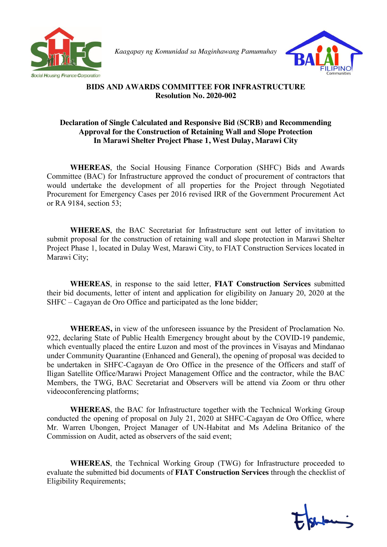

*Kaagapay ng Komunidad sa Maginhawang Pamumuhay* 



## **BIDS AND AWARDS COMMITTEE FOR INFRASTRUCTURE Resolution No. 2020-002**

## **Declaration of Single Calculated and Responsive Bid (SCRB) and Recommending Approval for the Construction of Retaining Wall and Slope Protection In Marawi Shelter Project Phase 1, West Dulay, Marawi City**

**WHEREAS**, the Social Housing Finance Corporation (SHFC) Bids and Awards Committee (BAC) for Infrastructure approved the conduct of procurement of contractors that would undertake the development of all properties for the Project through Negotiated Procurement for Emergency Cases per 2016 revised IRR of the Government Procurement Act or RA 9184, section 53;

**WHEREAS**, the BAC Secretariat for Infrastructure sent out letter of invitation to submit proposal for the construction of retaining wall and slope protection in Marawi Shelter Project Phase 1, located in Dulay West, Marawi City, to FIAT Construction Services located in Marawi City;

**WHEREAS**, in response to the said letter, **FIAT Construction Services** submitted their bid documents, letter of intent and application for eligibility on January 20, 2020 at the SHFC – Cagayan de Oro Office and participated as the lone bidder;

**WHEREAS,** in view of the unforeseen issuance by the President of Proclamation No. 922, declaring State of Public Health Emergency brought about by the COVID-19 pandemic, which eventually placed the entire Luzon and most of the provinces in Visayas and Mindanao under Community Quarantine (Enhanced and General), the opening of proposal was decided to be undertaken in SHFC-Cagayan de Oro Office in the presence of the Officers and staff of Iligan Satellite Office/Marawi Project Management Office and the contractor, while the BAC Members, the TWG, BAC Secretariat and Observers will be attend via Zoom or thru other videoconferencing platforms;

**WHEREAS**, the BAC for Infrastructure together with the Technical Working Group conducted the opening of proposal on July 21, 2020 at SHFC-Cagayan de Oro Office, where Mr. Warren Ubongen, Project Manager of UN-Habitat and Ms Adelina Britanico of the Commission on Audit, acted as observers of the said event;

**WHEREAS**, the Technical Working Group (TWG) for Infrastructure proceeded to evaluate the submitted bid documents of **FIAT Construction Services** through the checklist of Eligibility Requirements;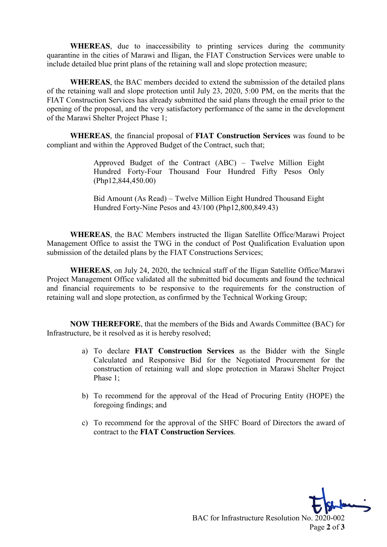**WHEREAS**, due to inaccessibility to printing services during the community quarantine in the cities of Marawi and Iligan, the FIAT Construction Services were unable to include detailed blue print plans of the retaining wall and slope protection measure;

**WHEREAS**, the BAC members decided to extend the submission of the detailed plans of the retaining wall and slope protection until July 23, 2020, 5:00 PM, on the merits that the FIAT Construction Services has already submitted the said plans through the email prior to the opening of the proposal, and the very satisfactory performance of the same in the development of the Marawi Shelter Project Phase 1;

**WHEREAS**, the financial proposal of **FIAT Construction Services** was found to be compliant and within the Approved Budget of the Contract, such that;

> Approved Budget of the Contract (ABC) – Twelve Million Eight Hundred Forty-Four Thousand Four Hundred Fifty Pesos Only (Php12,844,450.00)

> Bid Amount (As Read) – Twelve Million Eight Hundred Thousand Eight Hundred Forty-Nine Pesos and 43/100 (Php12,800,849.43)

**WHEREAS**, the BAC Members instructed the Iligan Satellite Office/Marawi Project Management Office to assist the TWG in the conduct of Post Qualification Evaluation upon submission of the detailed plans by the FIAT Constructions Services;

**WHEREAS**, on July 24, 2020, the technical staff of the Iligan Satellite Office/Marawi Project Management Office validated all the submitted bid documents and found the technical and financial requirements to be responsive to the requirements for the construction of retaining wall and slope protection, as confirmed by the Technical Working Group;

**NOW THEREFORE**, that the members of the Bids and Awards Committee (BAC) for Infrastructure, be it resolved as it is hereby resolved;

- a) To declare **FIAT Construction Services** as the Bidder with the Single Calculated and Responsive Bid for the Negotiated Procurement for the construction of retaining wall and slope protection in Marawi Shelter Project Phase 1;
- b) To recommend for the approval of the Head of Procuring Entity (HOPE) the foregoing findings; and
- c) To recommend for the approval of the SHFC Board of Directors the award of contract to the **FIAT Construction Services**.

BAC for Infrastructure Resolution No. 2020-002 Page **2** of **3**